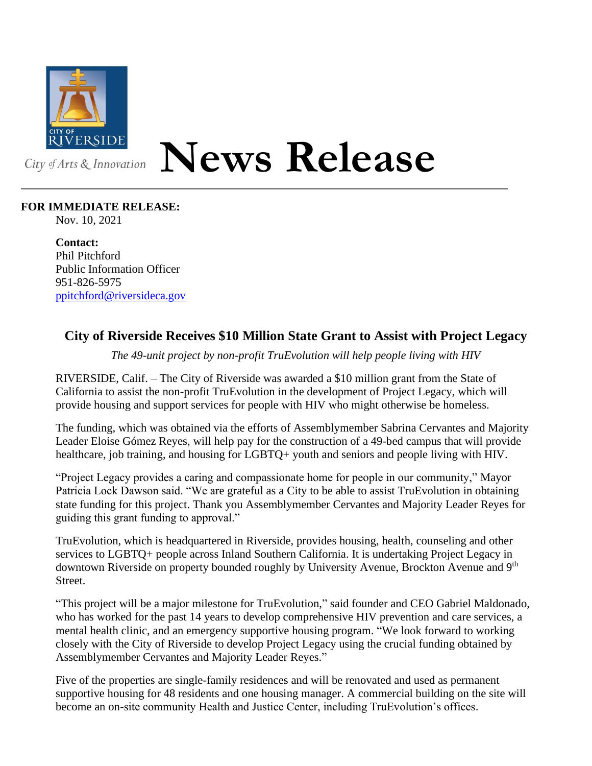

## **News Release**

## **FOR IMMEDIATE RELEASE:**

Nov. 10, 2021

**Contact:** Phil Pitchford Public Information Officer 951-826-5975 [ppitchford@riversideca.gov](mailto:ppitchford@riversideca.gov)

## **City of Riverside Receives \$10 Million State Grant to Assist with Project Legacy**

*The 49-unit project by non-profit TruEvolution will help people living with HIV*

RIVERSIDE, Calif. – The City of Riverside was awarded a \$10 million grant from the State of California to assist the non-profit TruEvolution in the development of Project Legacy, which will provide housing and support services for people with HIV who might otherwise be homeless.

The funding, which was obtained via the efforts of Assemblymember Sabrina Cervantes and Majority Leader Eloise Gómez Reyes, will help pay for the construction of a 49-bed campus that will provide healthcare, job training, and housing for LGBTQ+ youth and seniors and people living with HIV.

"Project Legacy provides a caring and compassionate home for people in our community," Mayor Patricia Lock Dawson said. "We are grateful as a City to be able to assist TruEvolution in obtaining state funding for this project. Thank you Assemblymember Cervantes and Majority Leader Reyes for guiding this grant funding to approval."

TruEvolution, which is headquartered in Riverside, provides housing, health, counseling and other services to LGBTQ+ people across Inland Southern California. It is undertaking Project Legacy in downtown Riverside on property bounded roughly by University Avenue, Brockton Avenue and 9<sup>th</sup> Street.

"This project will be a major milestone for TruEvolution," said founder and CEO Gabriel Maldonado, who has worked for the past 14 years to develop comprehensive HIV prevention and care services, a mental health clinic, and an emergency supportive housing program. "We look forward to working closely with the City of Riverside to develop Project Legacy using the crucial funding obtained by Assemblymember Cervantes and Majority Leader Reyes."

Five of the properties are single-family residences and will be renovated and used as permanent supportive housing for 48 residents and one housing manager. A commercial building on the site will become an on-site community Health and Justice Center, including TruEvolution's offices.